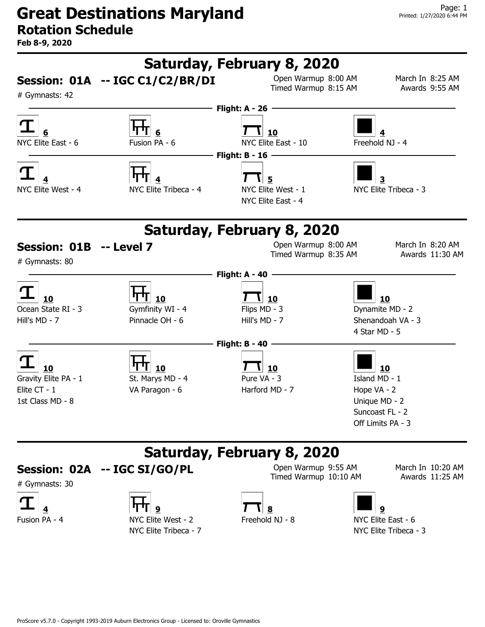Feb 8-9, 2020



#### **Session: 02A -- IGC SI/GO/PL**  $\frac{1}{T}$  Open Warmup 9:55 AM March In 10:20 AM **IGC SI/GO/PL**

# Gymnasts: 30







Timed Warmup 10:10 AM Awards 11:25 AM



NYC Elite Tribeca - 7 NYC Elite Tribeca - 3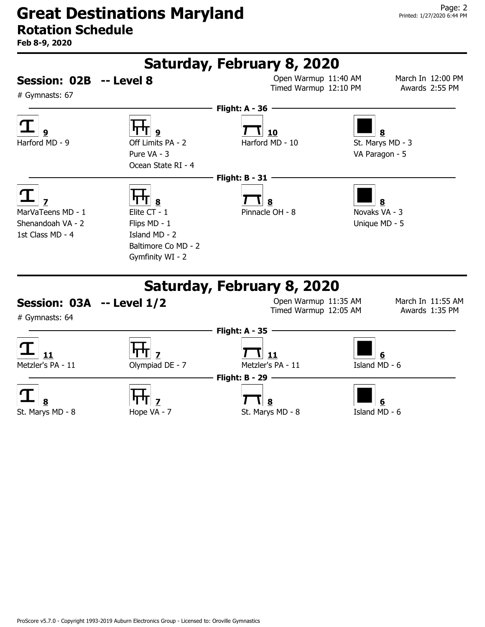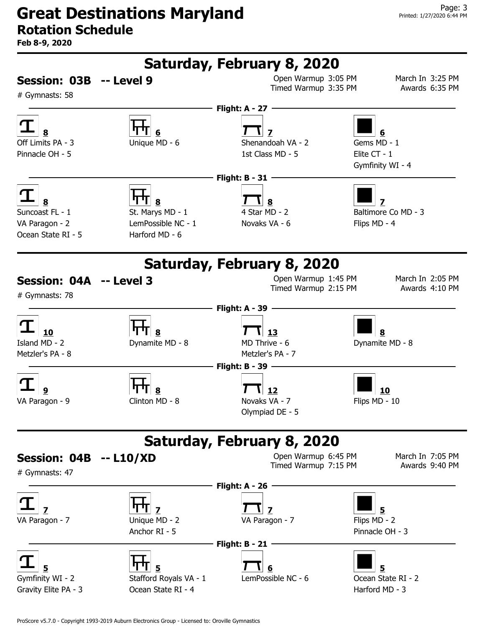Feb 8-9, 2020

![](_page_2_Figure_3.jpeg)

ProScore v5.7.0 - Copyright 1993-2019 Auburn Electronics Group - Licensed to: Oroville Gymnastics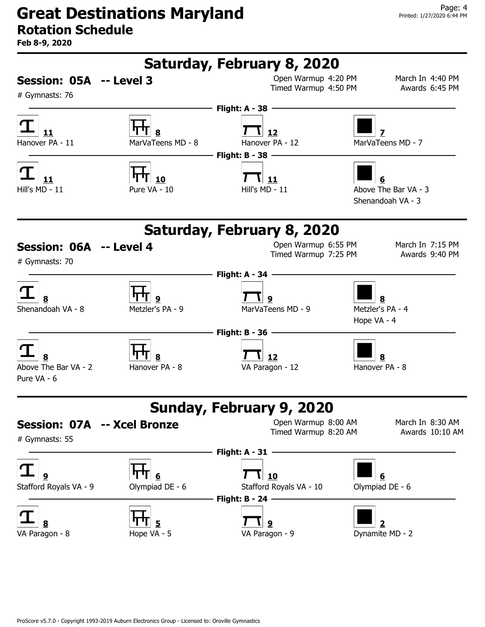# Great Destinations Maryland

# Rotation Schedule

![](_page_3_Figure_4.jpeg)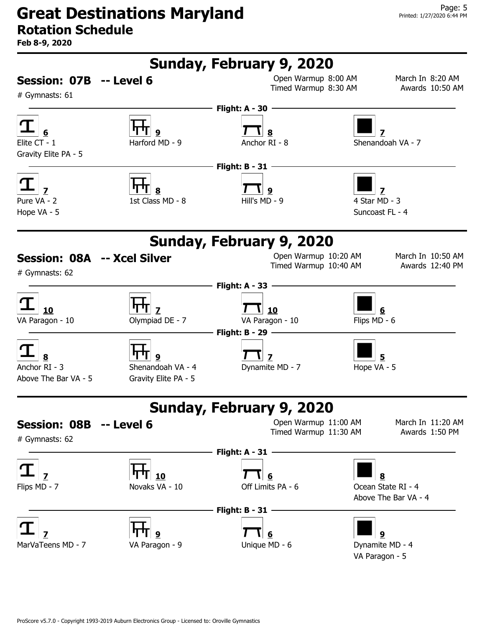# Great Destinations Maryland

# Rotation Schedule

![](_page_4_Figure_4.jpeg)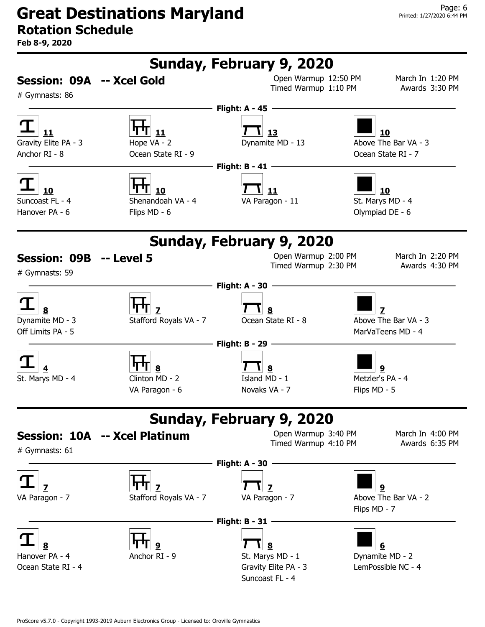![](_page_5_Figure_4.jpeg)